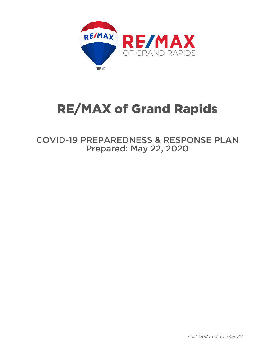

# RE/MAX of Grand Rapids

COVID-19 PREPAREDNESS & RESPONSE PLAN Prepared: May 22, 2020

*Last Updated: 05.17.2022*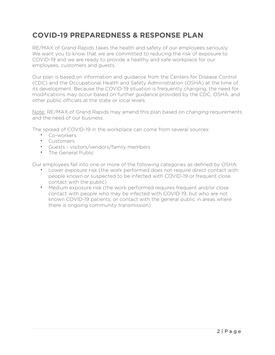# **COVID-19 PREPAREDNESS & RESPONSE PLAN**

RE/MAX of Grand Rapids takes the health and safety of our employees seriously. We want you to know that we are committed to reducing the risk of exposure to COVID-19 and we are ready to provide a healthy and safe workplace for our employees, customers and guests.

Our plan is based on information and guidance from the Centers for Disease Control (CDC) and the Occupational Health and Safety Administration (OSHA) at the time of its development. Because the COVID-19 situation is frequently changing, the need for modifications may occur based on further guidance provided by the CDC, OSHA, and other public officials at the state or local levels.

Note: RE/MAX of Grand Rapids may amend this plan based on changing requirements and the need of our business.

The spread of COVID-19 in the workplace can come from several sources:

- Co-workers
- Customers
- Guests visitors/vendors/family members
- The General Public

Our employees fall into one or more of the following categories as defined by OSHA:

- Lower exposure risk (the work performed does not require direct contact with people known or suspected to be infected with COVID-19 or frequent close contact with the public)
- Medium exposure risk (the work performed requires frequent and/or close contact with people who may be infected with COVID-19, but who are not known COVID-19 patients, or contact with the general public in areas where there is ongoing community transmission)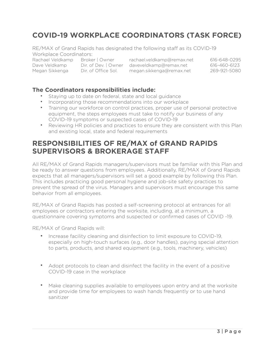# **COVID-19 WORKPLACE COORDINATORS (TASK FORCE)**

RE/MAX of Grand Rapids has designated the following staff as its COVID-19 Workplace Coordinators:

Rachael Veldkamp Broker | Owner rachael.veldkamp@remax.net 616-648-0295 Dave Veldkamp Dir. of Dev. | Owner daveveldkamp@remax.net 616-460-6123 Megan Sikkenga Dir. of Office Sol. megan.sikkenga@remax.net 269-921-5080

#### **The Coordinators responsibilities include:**

- Staying up to date on federal, state and local guidance
- Incorporating those recommendations into our workplace
- Training our workforce on control practices, proper use of personal protective equipment, the steps employees must take to notify our business of any COVID-19 symptoms or suspected cases of COVID-19
- Reviewing HR policies and practices to ensure they are consistent with this Plan and existing local, state and federal requirements

### **RESPONSIBILITIES OF RE/MAX of GRAND RAPIDS SUPERVISORS & BROKERAGE STAFF**

All RE/MAX of Grand Rapids managers/supervisors must be familiar with this Plan and be ready to answer questions from employees. Additionally, RE/MAX of Grand Rapids expects that all managers/supervisors will set a good example by following this Plan. This includes practicing good personal hygiene and job-site safety practices to prevent the spread of the virus. Managers and supervisors must encourage this same behavior from all employees.

RE/MAX of Grand Rapids has posted a self-screening protocol at entrances for all employees or contractors entering the worksite, including, at a minimum, a questionnaire covering symptoms and suspected or confirmed cases of COVID -19.

RE/MAX of Grand Rapids will:

- Increase facility cleaning and disinfection to limit exposure to COVID-19, especially on high-touch surfaces (e.g., door handles), paying special attention to parts, products, and shared equipment (e.g., tools, machinery, vehicles)
- Adopt protocols to clean and disinfect the facility in the event of a positive COVID-19 case in the workplace
- Make cleaning supplies available to employees upon entry and at the worksite and provide time for employees to wash hands frequently or to use hand sanitizer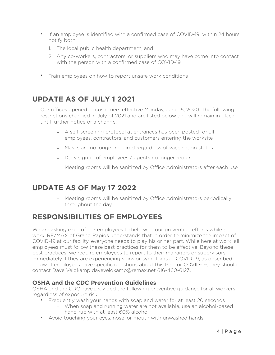- If an employee is identified with a confirmed case of COVID-19, within 24 hours, notify both:
	- 1. The local public health department, and
	- 2. Any co-workers, contractors, or suppliers who may have come into contact with the person with a confirmed case of COVID-19
- Train employees on how to report unsafe work conditions

## **UPDATE AS OF JULY 1 2021**

Our offices opened to customers effective Monday, June 15, 2020. The following restrictions changed in July of 2021 and are listed below and will remain in place until further notice of a change:

- A self-screening protocol at entrances has been posted for all employees, contractors, and customers entering the worksite
- Masks are no longer required regardless of vaccination status
- Daily sign-in of employees / agents no longer required
- Meeting rooms will be sanitized by Office Administrators after each use

## **UPDATE AS OF May 17 2022**

- Meeting rooms will be sanitized by Office Administrators periodically throughout the day

## **RESPONSIBILITIES OF EMPLOYEES**

We are asking each of our employees to help with our prevention efforts while at work. RE/MAX of Grand Rapids understands that in order to minimize the impact of COVID-19 at our facility, everyone needs to play his or her part. While here at work, all employees must follow these best practices for them to be effective. Beyond these best practices, we require employees to report to their managers or supervisors immediately if they are experiencing signs or symptoms of COVID-19, as described below. If employees have specific questions about this Plan or COVID-19, they should contact Dave Veldkamp daveveldkamp@remax.net 616-460-6123.

#### **OSHA and the CDC Prevention Guidelines**

OSHA and the CDC have provided the following preventive guidance for all workers, regardless of exposure risk:

- Frequently wash your hands with soap and water for at least 20 seconds
	- When soap and running water are not available, use an alcohol-based hand rub with at least 60% alcohol
- Avoid touching your eyes, nose, or mouth with unwashed hands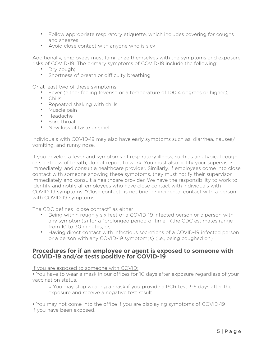- Follow appropriate respiratory etiquette, which includes covering for coughs and sneezes
- Avoid close contact with anyone who is sick

Additionally, employees must familiarize themselves with the symptoms and exposure risks of COVID-19. The primary symptoms of COVID-19 include the following:

- Dry cough;
- Shortness of breath or difficulty breathing

Or at least two of these symptoms:

- Fever (either feeling feverish or a temperature of 100.4 degrees or higher);
- Chills
- Repeated shaking with chills
- Muscle pain
- Headache
- Sore throat
- New loss of taste or smell

Individuals with COVID-19 may also have early symptoms such as, diarrhea, nausea/ vomiting, and runny nose.

If you develop a fever and symptoms of respiratory illness, such as an atypical cough or shortness of breath, do not report to work. You must also notify your supervisor immediately, and consult a healthcare provider. Similarly, if employees come into close contact with someone showing these symptoms, they must notify their supervisor immediately and consult a healthcare provider. We have the responsibility to work to identify and notify all employees who have close contact with individuals with COVID-19 symptoms. "Close contact" is not brief or incidental contact with a person with COVID-19 symptoms.

The CDC defines "close contact" as either:

- Being within roughly six feet of a COVID-19 infected person or a person with any symptom(s) for a "prolonged period of time;" (the CDC estimates range from 10 to 30 minutes, or,
- Having direct contact with infectious secretions of a COVID-19 infected person or a person with any COVID-19 symptom(s) (i.e., being coughed on)

#### **Procedures for if an employee or agent is exposed to someone with COVID-19 and/or tests positive for COVID-19**

If you are exposed to someone with COVID:

• You have to wear a mask in our offices for 10 days after exposure regardless of your vaccination status.

◦ You may stop wearing a mask if you provide a PCR test 3-5 days after the exposure and receive a negative test result.

• You may not come into the office if you are displaying symptoms of COVID-19 if you have been exposed.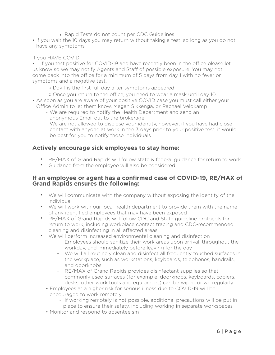- ‣ Rapid Tests do not count per CDC Guidelines
- If you wait the 10 days you may return without taking a test, so long as you do not have any symptoms

#### If you HAVE COVID:

• If you test positive for COVID-19 and have recently been in the office please let us know so we may notify Agents and Staff of possible exposure. You may not come back into the office for a minimum of 5 days from day 1 with no fever or symptoms and a negative test.

- Day 1 is the first full day after symptoms appeared.
- Once you return to the office, you need to wear a mask until day 10.
- As soon as you are aware of your positive COVID case you must call either your Office Admin to let them know, Megan Sikkenga, or Rachael Veldkamp
	- We are required to notify the Health Department and send an anonymous Email out to the brokerage
	- We are not allowed to disclose your identity, however, if you have had close contact with anyone at work in the 3 days prior to your positive test, it would be best for you to notify those individuals

#### **Actively encourage sick employees to stay home:**

- RE/MAX of Grand Rapids will follow state & federal guidance for return to work
- Guidance from the employee will also be considered

#### **If an employee or agent has a confirmed case of COVID-19, RE/MAX of Grand Rapids ensures the following:**

- We will communicate with the company without exposing the identity of the individual
- We will work with our local health department to provide them with the name of any identified employees that may have been exposed
- RE/MAX of Grand Rapids will follow CDC and State guideline protocols for return to work, including workplace contact tracing and CDC-recommended cleaning and disinfecting in all affected areas
- We will perform increased environmental cleaning and disinfection
	- Employees should sanitize their work areas upon arrival, throughout the workday, and immediately before leaving for the day
	- We will all routinely clean and disinfect all frequently touched surfaces in the workplace, such as workstations, keyboards, telephones, handrails, and doorknobs
	- RE/MAX of Grand Rapids provides disinfectant supplies so that commonly used surfaces (for example, doorknobs, keyboards, copiers, desks, other work tools and equipment) can be wiped down regularly
	- Employees at a higher risk for serious illness due to COVID-19 will be encouraged to work remotely
		- If working remotely is not possible, additional precautions will be put in place to ensure their safety, including working in separate workspaces
	- Monitor and respond to absenteeism